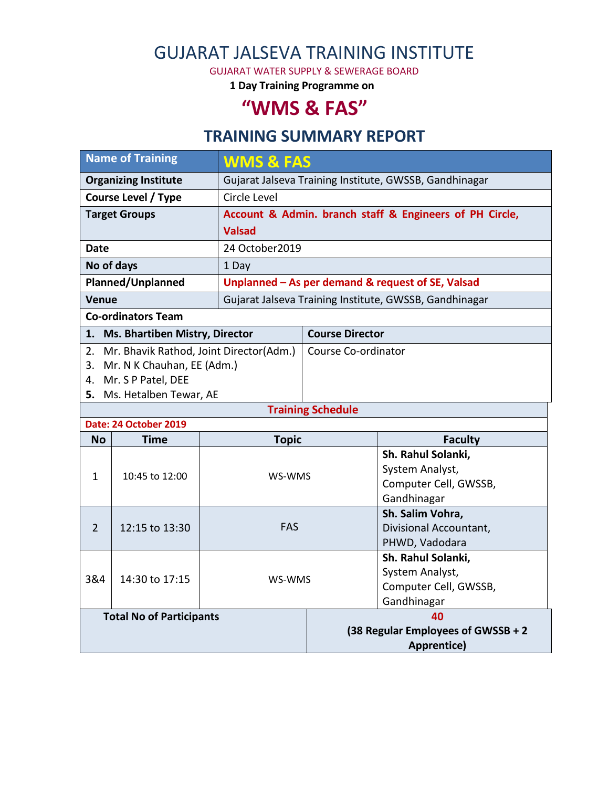# GUJARAT JALSEVA TRAINING INSTITUTE

GUJARAT WATER SUPPLY & SEWERAGE BOARD

**1 Day Training Programme on**

# **"WMS & FAS"**

#### **TRAINING SUMMARY REPORT**

| <b>Name of Training</b>     |                                            |                | <b>WMS &amp; FAS</b>                                    |                                                   |  |  |
|-----------------------------|--------------------------------------------|----------------|---------------------------------------------------------|---------------------------------------------------|--|--|
| <b>Organizing Institute</b> |                                            |                | Gujarat Jalseva Training Institute, GWSSB, Gandhinagar  |                                                   |  |  |
| <b>Course Level / Type</b>  |                                            | Circle Level   |                                                         |                                                   |  |  |
| <b>Target Groups</b>        |                                            |                | Account & Admin. branch staff & Engineers of PH Circle, |                                                   |  |  |
|                             |                                            | <b>Valsad</b>  |                                                         |                                                   |  |  |
| Date                        |                                            | 24 October2019 |                                                         |                                                   |  |  |
| No of days                  |                                            | 1 Day          |                                                         |                                                   |  |  |
| Planned/Unplanned           |                                            |                | Unplanned - As per demand & request of SE, Valsad       |                                                   |  |  |
| <b>Venue</b>                |                                            |                | Gujarat Jalseva Training Institute, GWSSB, Gandhinagar  |                                                   |  |  |
|                             | <b>Co-ordinators Team</b>                  |                |                                                         |                                                   |  |  |
|                             | 1. Ms. Bhartiben Mistry, Director          |                | <b>Course Director</b>                                  |                                                   |  |  |
|                             | 2. Mr. Bhavik Rathod, Joint Director(Adm.) |                | Course Co-ordinator                                     |                                                   |  |  |
|                             | 3. Mr. N K Chauhan, EE (Adm.)              |                |                                                         |                                                   |  |  |
|                             | 4. Mr. S P Patel, DEE                      |                |                                                         |                                                   |  |  |
|                             | 5. Ms. Hetalben Tewar, AE                  |                |                                                         |                                                   |  |  |
|                             | Date: 24 October 2019                      |                | <b>Training Schedule</b>                                |                                                   |  |  |
| <b>No</b>                   | <b>Time</b>                                | <b>Topic</b>   |                                                         | <b>Faculty</b>                                    |  |  |
|                             |                                            |                |                                                         | Sh. Rahul Solanki,                                |  |  |
|                             |                                            |                |                                                         |                                                   |  |  |
| $\mathbf{1}$                | 10:45 to 12:00                             |                |                                                         |                                                   |  |  |
|                             |                                            | WS-WMS         |                                                         | System Analyst,                                   |  |  |
|                             |                                            |                |                                                         | Computer Cell, GWSSB,<br>Gandhinagar              |  |  |
|                             |                                            |                |                                                         | Sh. Salim Vohra,                                  |  |  |
| $\overline{2}$              | 12:15 to 13:30                             | <b>FAS</b>     |                                                         | Divisional Accountant,                            |  |  |
|                             |                                            |                |                                                         | PHWD, Vadodara                                    |  |  |
|                             |                                            |                |                                                         | Sh. Rahul Solanki,                                |  |  |
| 3&4                         | 14:30 to 17:15                             | WS-WMS         |                                                         | System Analyst,                                   |  |  |
|                             |                                            |                |                                                         | Computer Cell, GWSSB,                             |  |  |
|                             |                                            |                |                                                         | Gandhinagar                                       |  |  |
|                             | <b>Total No of Participants</b>            |                |                                                         | 40                                                |  |  |
|                             |                                            |                |                                                         | (38 Regular Employees of GWSSB + 2<br>Apprentice) |  |  |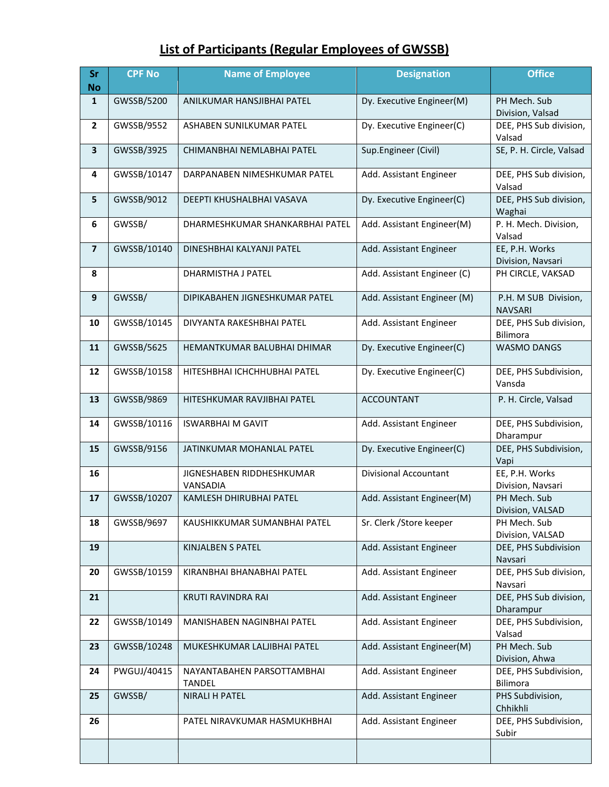## **List of Participants (Regular Employees of GWSSB)**

| Sr<br><b>No</b>         | <b>CPF No</b> | <b>Name of Employee</b>                     | <b>Designation</b>           | <b>Office</b>                          |
|-------------------------|---------------|---------------------------------------------|------------------------------|----------------------------------------|
| $\mathbf{1}$            | GWSSB/5200    | ANILKUMAR HANSJIBHAI PATEL                  | Dy. Executive Engineer(M)    | PH Mech. Sub<br>Division, Valsad       |
| $\mathbf{2}$            | GWSSB/9552    | ASHABEN SUNILKUMAR PATEL                    | Dy. Executive Engineer(C)    | DEE, PHS Sub division,<br>Valsad       |
| 3                       | GWSSB/3925    | CHIMANBHAI NEMLABHAI PATEL                  | Sup.Engineer (Civil)         | SE, P. H. Circle, Valsad               |
| 4                       | GWSSB/10147   | DARPANABEN NIMESHKUMAR PATEL                | Add. Assistant Engineer      | DEE, PHS Sub division,<br>Valsad       |
| 5                       | GWSSB/9012    | DEEPTI KHUSHALBHAI VASAVA                   | Dy. Executive Engineer(C)    | DEE, PHS Sub division,<br>Waghai       |
| 6                       | GWSSB/        | DHARMESHKUMAR SHANKARBHAI PATEL             | Add. Assistant Engineer(M)   | P. H. Mech. Division,<br>Valsad        |
| $\overline{\mathbf{z}}$ | GWSSB/10140   | DINESHBHAI KALYANJI PATEL                   | Add. Assistant Engineer      | EE, P.H. Works<br>Division, Navsari    |
| 8                       |               | DHARMISTHA J PATEL                          | Add. Assistant Engineer (C)  | PH CIRCLE, VAKSAD                      |
| 9                       | GWSSB/        | DIPIKABAHEN JIGNESHKUMAR PATEL              | Add. Assistant Engineer (M)  | P.H. M SUB Division,<br><b>NAVSARI</b> |
| 10                      | GWSSB/10145   | DIVYANTA RAKESHBHAI PATEL                   | Add. Assistant Engineer      | DEE, PHS Sub division,<br>Bilimora     |
| 11                      | GWSSB/5625    | HEMANTKUMAR BALUBHAI DHIMAR                 | Dy. Executive Engineer(C)    | <b>WASMO DANGS</b>                     |
| 12                      | GWSSB/10158   | HITESHBHAI ICHCHHUBHAI PATEL                | Dy. Executive Engineer(C)    | DEE, PHS Subdivision,<br>Vansda        |
| 13                      | GWSSB/9869    | HITESHKUMAR RAVJIBHAI PATEL                 | <b>ACCOUNTANT</b>            | P. H. Circle, Valsad                   |
| 14                      | GWSSB/10116   | <b>ISWARBHAI M GAVIT</b>                    | Add. Assistant Engineer      | DEE, PHS Subdivision,<br>Dharampur     |
| 15                      | GWSSB/9156    | JATINKUMAR MOHANLAL PATEL                   | Dy. Executive Engineer(C)    | DEE, PHS Subdivision,<br>Vapi          |
| 16                      |               | JIGNESHABEN RIDDHESHKUMAR<br>VANSADIA       | <b>Divisional Accountant</b> | EE, P.H. Works<br>Division, Navsari    |
| 17                      | GWSSB/10207   | KAMLESH DHIRUBHAI PATEL                     | Add. Assistant Engineer(M)   | PH Mech. Sub<br>Division, VALSAD       |
| 18                      | GWSSB/9697    | KAUSHIKKUMAR SUMANBHAI PATEL                | Sr. Clerk / Store keeper     | PH Mech. Sub<br>Division, VALSAD       |
| 19                      |               | <b>KINJALBEN S PATEL</b>                    | Add. Assistant Engineer      | DEE, PHS Subdivision<br>Navsari        |
| 20                      | GWSSB/10159   | KIRANBHAI BHANABHAI PATEL                   | Add. Assistant Engineer      | DEE, PHS Sub division,<br>Navsari      |
| 21                      |               | KRUTI RAVINDRA RAI                          | Add. Assistant Engineer      | DEE, PHS Sub division,<br>Dharampur    |
| 22                      | GWSSB/10149   | MANISHABEN NAGINBHAI PATEL                  | Add. Assistant Engineer      | DEE, PHS Subdivision,<br>Valsad        |
| 23                      | GWSSB/10248   | MUKESHKUMAR LALJIBHAI PATEL                 | Add. Assistant Engineer(M)   | PH Mech. Sub<br>Division, Ahwa         |
| 24                      | PWGUJ/40415   | NAYANTABAHEN PARSOTTAMBHAI<br><b>TANDEL</b> | Add. Assistant Engineer      | DEE, PHS Subdivision,<br>Bilimora      |
| 25                      | GWSSB/        | <b>NIRALI H PATEL</b>                       | Add. Assistant Engineer      | PHS Subdivision,<br>Chhikhli           |
| 26                      |               | PATEL NIRAVKUMAR HASMUKHBHAI                | Add. Assistant Engineer      | DEE, PHS Subdivision,<br>Subir         |
|                         |               |                                             |                              |                                        |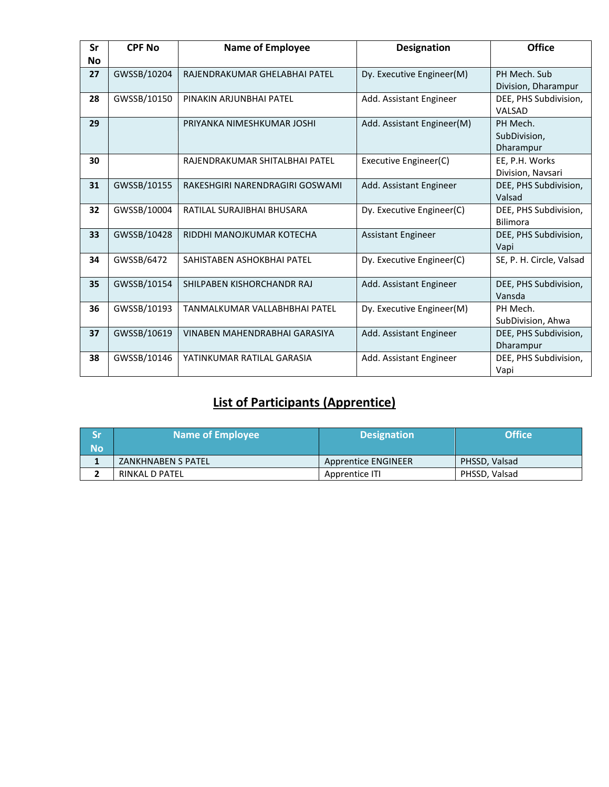| Sr | <b>CPF No</b> | <b>Name of Employee</b>         | <b>Designation</b>         | <b>Office</b>                         |
|----|---------------|---------------------------------|----------------------------|---------------------------------------|
| No |               |                                 |                            |                                       |
| 27 | GWSSB/10204   | RAJENDRAKUMAR GHELABHAI PATEL   | Dy. Executive Engineer(M)  | PH Mech. Sub<br>Division, Dharampur   |
| 28 | GWSSB/10150   | PINAKIN ARJUNBHAI PATEL         | Add. Assistant Engineer    | DEE, PHS Subdivision,<br>VALSAD       |
| 29 |               | PRIYANKA NIMESHKUMAR JOSHI      | Add. Assistant Engineer(M) | PH Mech.<br>SubDivision,<br>Dharampur |
| 30 |               | RAJENDRAKUMAR SHITALBHAI PATEL  | Executive Engineer(C)      | EE, P.H. Works<br>Division, Navsari   |
| 31 | GWSSB/10155   | RAKESHGIRI NARENDRAGIRI GOSWAMI | Add. Assistant Engineer    | DEE, PHS Subdivision,<br>Valsad       |
| 32 | GWSSB/10004   | RATILAL SURAJIBHAI BHUSARA      | Dy. Executive Engineer(C)  | DEE, PHS Subdivision,<br>Bilimora     |
| 33 | GWSSB/10428   | RIDDHI MANOJKUMAR KOTECHA       | Assistant Engineer         | DEE, PHS Subdivision,<br>Vapi         |
| 34 | GWSSB/6472    | SAHISTABEN ASHOKBHAI PATEL      | Dy. Executive Engineer(C)  | SE, P. H. Circle, Valsad              |
| 35 | GWSSB/10154   | SHILPABEN KISHORCHANDR RAJ      | Add. Assistant Engineer    | DEE, PHS Subdivision,<br>Vansda       |
| 36 | GWSSB/10193   | TANMALKUMAR VALLABHBHAI PATEL   | Dy. Executive Engineer(M)  | PH Mech.<br>SubDivision, Ahwa         |
| 37 | GWSSB/10619   | VINABEN MAHENDRABHAI GARASIYA   | Add. Assistant Engineer    | DEE, PHS Subdivision,<br>Dharampur    |
| 38 | GWSSB/10146   | YATINKUMAR RATILAL GARASIA      | Add. Assistant Engineer    | DEE, PHS Subdivision,<br>Vapi         |

#### **List of Participants (Apprentice)**

| <b>Sr</b><br><b>No</b> | <b>Name of Employee</b> | <b>Designation</b>  | <b>Office</b> |
|------------------------|-------------------------|---------------------|---------------|
|                        | ZANKHNABEN S PATEL      | Apprentice ENGINEER | PHSSD, Valsad |
|                        | RINKAL D PATEL          | Apprentice ITI      | PHSSD, Valsad |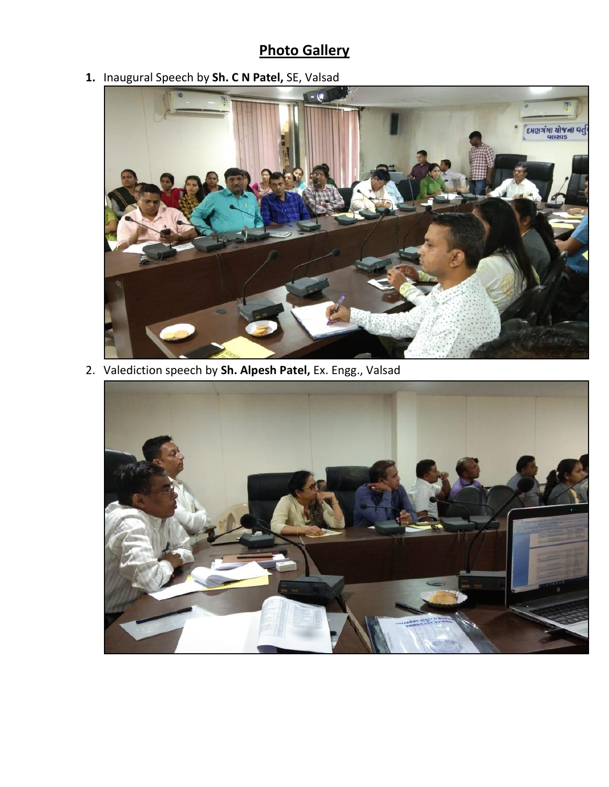## **Photo Gallery**

**1.** Inaugural Speech by **Sh. C N Patel,** SE, Valsad



2. Valediction speech by **Sh. Alpesh Patel,** Ex. Engg., Valsad

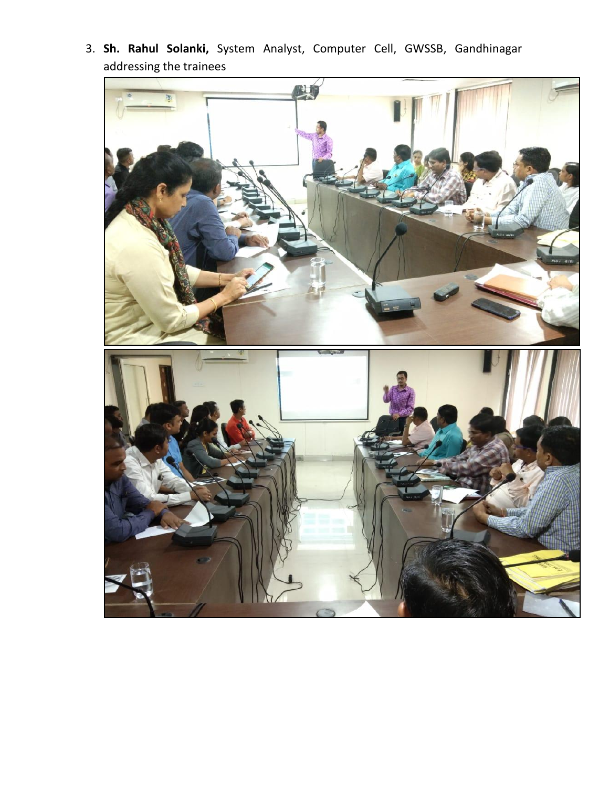

3. **Sh. Rahul Solanki,** System Analyst, Computer Cell, GWSSB, Gandhinagar addressing the trainees